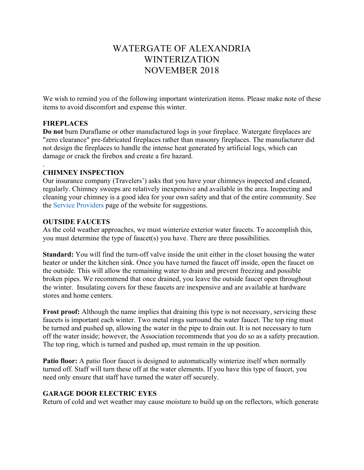# WATERGATE OF ALEXANDRIA WINTERIZATION NOVEMBER 2018

We wish to remind you of the following important winterization items. Please make note of these items to avoid discomfort and expense this winter.

### **FIREPLACES**

.

**Do not** burn Duraflame or other manufactured logs in your fireplace. Watergate fireplaces are "zero clearance" pre-fabricated fireplaces rather than masonry fireplaces. The manufacturer did not design the fireplaces to handle the intense heat generated by artificial logs, which can damage or crack the firebox and create a fire hazard.

### **CHIMNEY INSPECTION**

Our insurance company (Travelers') asks that you have your chimneys inspected and cleaned, regularly. Chimney sweeps are relatively inexpensive and available in the area. Inspecting and cleaning your chimney is a good idea for your own safety and that of the entire community. See the Service Providers page of the website for suggestions.

### **OUTSIDE FAUCETS**

As the cold weather approaches, we must winterize exterior water faucets. To accomplish this, you must determine the type of faucet(s) you have. There are three possibilities.

**Standard:** You will find the turn-off valve inside the unit either in the closet housing the water heater or under the kitchen sink. Once you have turned the faucet off inside, open the faucet on the outside. This will allow the remaining water to drain and prevent freezing and possible broken pipes. We recommend that once drained, you leave the outside faucet open throughout the winter. Insulating covers for these faucets are inexpensive and are available at hardware stores and home centers.

**Frost proof:** Although the name implies that draining this type is not necessary, servicing these faucets is important each winter. Two metal rings surround the water faucet. The top ring must be turned and pushed up, allowing the water in the pipe to drain out. It is not necessary to turn off the water inside; however, the Association recommends that you do so as a safety precaution. The top ring, which is turned and pushed up, must remain in the up position.

**Patio floor:** A patio floor faucet is designed to automatically winterize itself when normally turned off. Staff will turn these off at the water elements. If you have this type of faucet, you need only ensure that staff have turned the water off securely.

## **GARAGE DOOR ELECTRIC EYES**

Return of cold and wet weather may cause moisture to build up on the reflectors, which generate